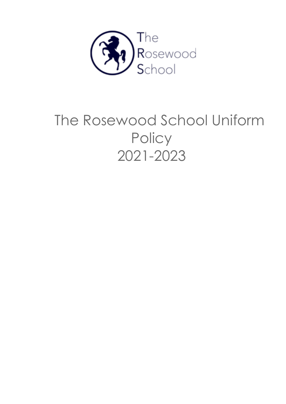

# The Rosewood School Uniform **Policy** 2021-2023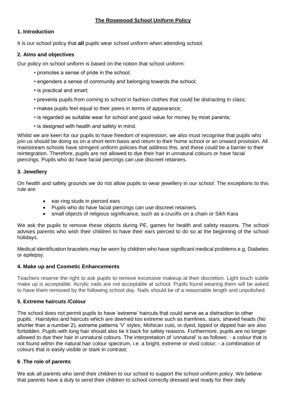# **The Rosewood School Uniform Policy**

# **1. Introduction**

It is our school policy that **all** pupils wear school uniform when attending school.

# **2. Aims and objectives**

Our policy on school uniform is based on the notion that school uniform:

- promotes a sense of pride in the school;
- engenders a sense of community and belonging towards the school;
- is practical and smart;
- prevents pupils from coming to school in fashion clothes that could be distracting in class;
- makes pupils feel equal to their peers in terms of appearance;
- is regarded as suitable wear for school and good value for money by most parents;
- is designed with health and safety in mind.

Whilst we are keen for our pupils to have freedom of expression, we also must recognise that pupils who join us should be doing so on a short-term basis and return to their home school or an onward provision. All mainstream schools have stringent uniform policies that address this, and these could be a barrier to their reintegration. Therefore, pupils are not allowed to dye their hair in unnatural colours or have facial piercings. Pupils who do have facial piercings can use discreet retainers.

# **3. Jewellery**

On health and safety grounds we do not allow pupils to wear jewellery in our school. The exceptions to this rule are:

- ear-ring studs in pierced ears
- Pupils who do have facial piercings can use discreet retainers.
- small objects of religious significance, such as a crucifix on a chain or Sikh Kara

We ask the pupils to remove these objects during PE, games for health and safety reasons. The school advises parents who wish their children to have their ears pierced to do so at the beginning of the school holidays.

Medical identification bracelets may be worn by children who have significant medical problems e.g. Diabetes or epilepsy.

#### **4. Make up and Cosmetic Enhancements**

Teachers reserve the right to ask pupils to remove excessive makeup at their discretion. Light touch subtle make up is acceptable. Acrylic nails are not acceptable at school. Pupils found wearing them will be asked to have them removed by the following school day. Nails should be of a reasonable length and unpolished.

#### **5. Extreme haircuts /Colour**

The school does not permit pupils to have 'extreme' haircuts that could serve as a distraction to other pupils. Hairstyles and haircuts which are deemed too extreme such as tramlines, stars, shaved heads (No shorter than a number 2), extreme patterns 'V' styles, Mohican cuts, or dyed, tipped or dipped hair are also forbidden. Pupils with long hair should also tie it back for safety reasons. Furthermore, pupils are no longer allowed to dye their hair in unnatural colours. The interpretation of 'unnatural' is as follows: - a colour that is not found within the natural hair colour spectrum, i.e. a bright, extreme or vivid colour; - a combination of colours that is easily visible or stark in contrast;

#### **6 .The role of parents**

We ask all parents who send their children to our school to support the school uniform policy. We believe that parents have a duty to send their children to school correctly dressed and ready for their daily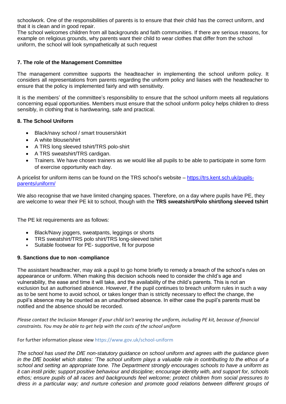schoolwork. One of the responsibilities of parents is to ensure that their child has the correct uniform, and that it is clean and in good repair.

The school welcomes children from all backgrounds and faith communities. If there are serious reasons, for example on religious grounds, why parents want their child to wear clothes that differ from the school uniform, the school will look sympathetically at such request

### **7. The role of the Management Committee**

The management committee supports the headteacher in implementing the school uniform policy. It considers all representations from parents regarding the uniform policy and liaises with the headteacher to ensure that the policy is implemented fairly and with sensitivity.

It is the members' of the committee's responsibility to ensure that the school uniform meets all regulations concerning equal opportunities. Members must ensure that the school uniform policy helps children to dress sensibly, in clothing that is hardwearing, safe and practical.

# **8. The School Uniform**

- Black/navy school / smart trousers/skirt
- A white blouse/shirt
- A TRS long sleeved tshirt/TRS polo-shirt
- A TRS sweatshirt/TRS cardigan.
- Trainers. We have chosen trainers as we would like all pupils to be able to participate in some form of exercise opportunity each day.

A pricelist for uniform items can be found on the TRS school's website – [https://trs.kent.sch.uk/pupils](https://trs.kent.sch.uk/pupils-parents/uniform/)[parents/uniform/](https://trs.kent.sch.uk/pupils-parents/uniform/)

We also recognise that we have limited changing spaces. Therefore, on a day where pupils have PE, they are welcome to wear their PE kit to school, though with the **TRS sweatshirt/Polo shirt/long sleeved tshirt**

The PE kit requirements are as follows:

- Black/Navy joggers, sweatpants, leggings or shorts
- TRS sweatshirt/TRS polo shirt/TRS long-sleeved tshirt
- Suitable footwear for PE- supportive, fit for purpose

#### **9. Sanctions due to non -compliance**

The assistant headteacher, may ask a pupil to go home briefly to remedy a breach of the school's rules on appearance or uniform. When making this decision schools need to consider the child's age and vulnerability, the ease and time it will take, and the availability of the child's parents. This is not an exclusion but an authorised absence. However, if the pupil continues to breach uniform rules in such a way as to be sent home to avoid school, or takes longer than is strictly necessary to effect the change, the pupil's absence may be counted as an unauthorised absence. In either case the pupil's parents must be notified and the absence should be recorded.

*Please contact the Inclusion Manager if your child isn't wearing the uniform, including PE kit, because of financial constraints. You may be able to get help with the costs of the school uniform*

#### For further information please view https://www.gov.uk/school-uniform

*The school has used the DfE non-statutory guidance on school uniform and agrees with the guidance given in the DfE booklet which states: 'The school uniform plays a valuable role in contributing to the ethos of a school and setting an appropriate tone. The Department strongly encourages schools to have a uniform as it can instil pride; support positive behaviour and discipline; encourage identity with, and support for, schools ethos; ensure pupils of all races and backgrounds feel welcome; protect children from social pressures to dress in a particular way; and nurture cohesion and promote good relations between different groups of*